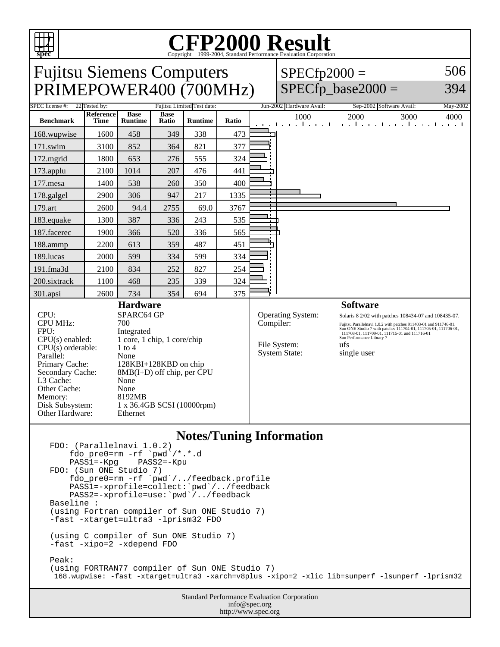

## **Notes/Tuning Information**

FDO: (Parallelnavi 1.0.2) fdo\_pre0=rm -rf `pwd<sup>`</sup>/\*.\*.d<br>PASS1=-Kpg PASS2=-Kpu  $PASS1=-Kpg$ FDO: (Sun ONE Studio 7) fdo\_pre0=rm -rf `pwd`/../feedback.profile PASS1=-xprofile=collect:`pwd`/../feedback PASS2=-xprofile=use:`pwd`/../feedback Baseline : (using Fortran compiler of Sun ONE Studio 7) -fast -xtarget=ultra3 -lprism32 FDO (using C compiler of Sun ONE Studio 7) -fast -xipo=2 -xdepend FDO Peak: (using FORTRAN77 compiler of Sun ONE Studio 7) 168.wupwise: -fast -xtarget=ultra3 -xarch=v8plus -xipo=2 -xlic\_lib=sunperf -lsunperf -lprism32

Standard Performance Evaluation Corporation info@spec.org http://www.spec.org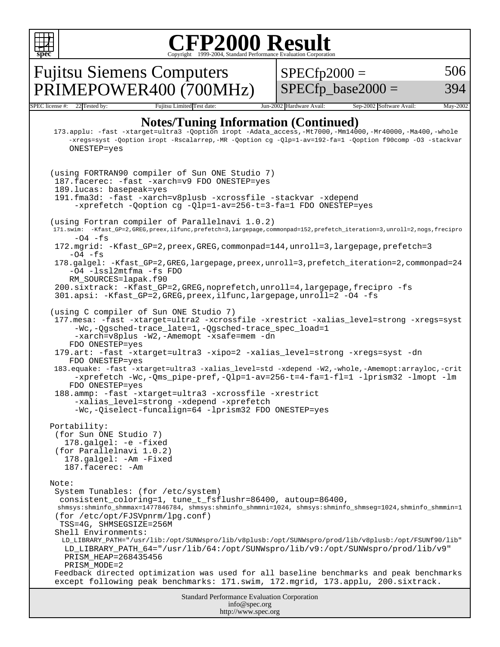

Standard Performance Evaluation Corporation info@spec.org http://www.spec.org